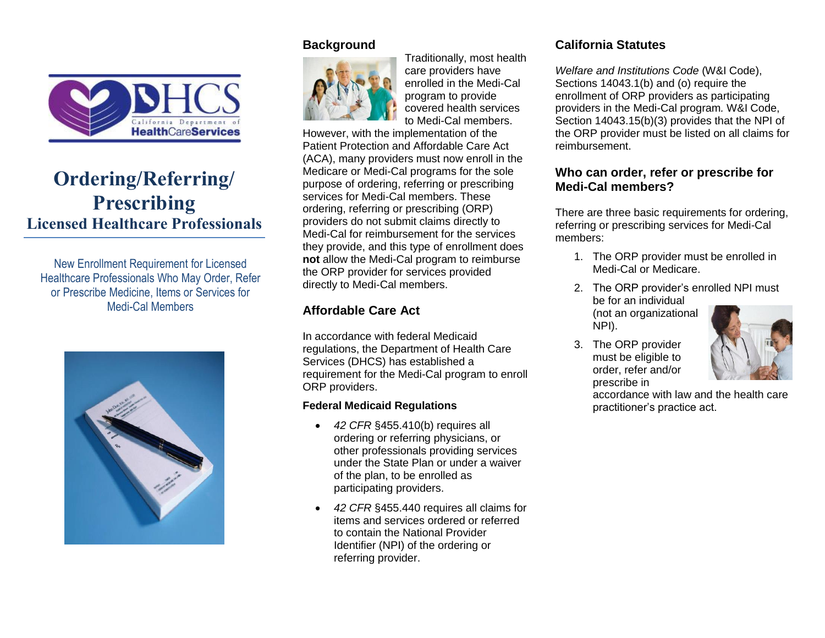

# **Ordering/Referring/ Prescribing Licensed Healthcare Professionals**

New Enrollment Requirement for Licensed Healthcare Professionals Who May Order, Refer or Prescribe Medicine, Items or Services for Medi-Cal Members



# **Background**



Traditionally, most health care providers have enrolled in the Medi-Cal program to provide covered health services to Medi-Cal members.

However, with the implementation of the Patient Protection and Affordable Care Act (ACA), many providers must now enroll in the Medicare or Medi-Cal programs for the sole purpose of ordering, referring or prescribing services for Medi-Cal members. These ordering, referring or prescribing (ORP) providers do not submit claims directly to Medi-Cal for reimbursement for the services they provide, and this type of enrollment does **not** allow the Medi-Cal program to reimburse the ORP provider for services provided directly to Medi-Cal members.

# **Affordable Care Act**

In accordance with federal Medicaid regulations, the Department of Health Care Services (DHCS) has established a requirement for the Medi-Cal program to enroll ORP providers.

#### **Federal Medicaid Regulations**

- *42 CFR* §455.410(b) requires all ordering or referring physicians, or other professionals providing services under the State Plan or under a waiver of the plan, to be enrolled as participating providers.
- *42 CFR* §455.440 requires all claims for items and services ordered or referred to contain the National Provider Identifier (NPI) of the ordering or referring provider.

# **California Statutes**

*Welfare and Institutions Code* (W&I Code), Sections 14043.1(b) and (o) require the enrollment of ORP providers as participating providers in the Medi-Cal program*.* W&I Code, Section 14043.15(b)(3) provides that the NPI of the ORP provider must be listed on all claims for reimbursement.

# **Who can order, refer or prescribe for Medi-Cal members?**

There are three basic requirements for ordering, referring or prescribing services for Medi-Cal members:

- 1. The ORP provider must be enrolled in Medi-Cal or Medicare.
- 2. The ORP provider's enrolled NPI must be for an individual (not an organizational NPI).
- 3. The ORP provider must be eligible to order, refer and/or prescribe in



accordance with law and the health care practitioner's practice act.